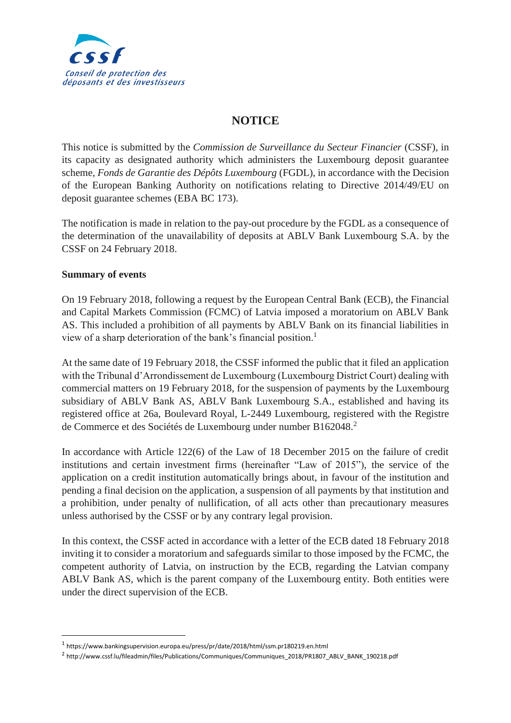

## **NOTICE**

This notice is submitted by the *Commission de Surveillance du Secteur Financier* (CSSF), in its capacity as designated authority which administers the Luxembourg deposit guarantee scheme, *Fonds de Garantie des Dépôts Luxembourg* (FGDL), in accordance with the Decision of the European Banking Authority on notifications relating to Directive 2014/49/EU on deposit guarantee schemes (EBA BC 173).

The notification is made in relation to the pay-out procedure by the FGDL as a consequence of the determination of the unavailability of deposits at ABLV Bank Luxembourg S.A. by the CSSF on 24 February 2018.

## **Summary of events**

**.** 

On 19 February 2018, following a request by the European Central Bank (ECB), the Financial and Capital Markets Commission (FCMC) of Latvia imposed a moratorium on ABLV Bank AS. This included a prohibition of all payments by ABLV Bank on its financial liabilities in view of a sharp deterioration of the bank's financial position.<sup>1</sup>

At the same date of 19 February 2018, the CSSF informed the public that it filed an application with the Tribunal d'Arrondissement de Luxembourg (Luxembourg District Court) dealing with commercial matters on 19 February 2018, for the suspension of payments by the Luxembourg subsidiary of ABLV Bank AS, ABLV Bank Luxembourg S.A., established and having its registered office at 26a, Boulevard Royal, L-2449 Luxembourg, registered with the Registre de Commerce et des Sociétés de Luxembourg under number B162048.<sup>2</sup>

In accordance with Article 122(6) of the Law of 18 December 2015 on the failure of credit institutions and certain investment firms (hereinafter "Law of 2015"), the service of the application on a credit institution automatically brings about, in favour of the institution and pending a final decision on the application, a suspension of all payments by that institution and a prohibition, under penalty of nullification, of all acts other than precautionary measures unless authorised by the CSSF or by any contrary legal provision.

In this context, the CSSF acted in accordance with a letter of the ECB dated 18 February 2018 inviting it to consider a moratorium and safeguards similar to those imposed by the FCMC, the competent authority of Latvia, on instruction by the ECB, regarding the Latvian company ABLV Bank AS, which is the parent company of the Luxembourg entity. Both entities were under the direct supervision of the ECB.

<sup>1</sup> https://www.bankingsupervision.europa.eu/press/pr/date/2018/html/ssm.pr180219.en.html

<sup>2</sup> http://www.cssf.lu/fileadmin/files/Publications/Communiques/Communiques\_2018/PR1807\_ABLV\_BANK\_190218.pdf